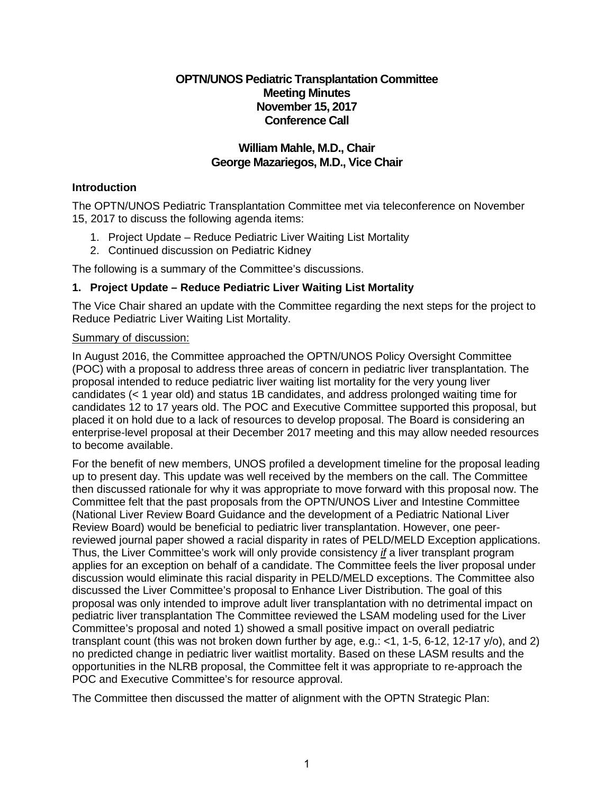## **OPTN/UNOS Pediatric Transplantation Committee Meeting Minutes November 15, 2017 Conference Call**

## **William Mahle, M.D., Chair George Mazariegos, M.D., Vice Chair**

### **Introduction**

The OPTN/UNOS Pediatric Transplantation Committee met via teleconference on November 15, 2017 to discuss the following agenda items:

- 1. Project Update Reduce Pediatric Liver Waiting List Mortality
- 2. Continued discussion on Pediatric Kidney

The following is a summary of the Committee's discussions.

### **1. Project Update – Reduce Pediatric Liver Waiting List Mortality**

The Vice Chair shared an update with the Committee regarding the next steps for the project to Reduce Pediatric Liver Waiting List Mortality.

#### Summary of discussion:

In August 2016, the Committee approached the OPTN/UNOS Policy Oversight Committee (POC) with a proposal to address three areas of concern in pediatric liver transplantation. The proposal intended to reduce pediatric liver waiting list mortality for the very young liver candidates (< 1 year old) and status 1B candidates, and address prolonged waiting time for candidates 12 to 17 years old. The POC and Executive Committee supported this proposal, but placed it on hold due to a lack of resources to develop proposal. The Board is considering an enterprise-level proposal at their December 2017 meeting and this may allow needed resources to become available.

For the benefit of new members, UNOS profiled a development timeline for the proposal leading up to present day. This update was well received by the members on the call. The Committee then discussed rationale for why it was appropriate to move forward with this proposal now. The Committee felt that the past proposals from the OPTN/UNOS Liver and Intestine Committee (National Liver Review Board Guidance and the development of a Pediatric National Liver Review Board) would be beneficial to pediatric liver transplantation. However, one peerreviewed journal paper showed a racial disparity in rates of PELD/MELD Exception applications. Thus, the Liver Committee's work will only provide consistency *if* a liver transplant program applies for an exception on behalf of a candidate. The Committee feels the liver proposal under discussion would eliminate this racial disparity in PELD/MELD exceptions. The Committee also discussed the Liver Committee's proposal to Enhance Liver Distribution. The goal of this proposal was only intended to improve adult liver transplantation with no detrimental impact on pediatric liver transplantation The Committee reviewed the LSAM modeling used for the Liver Committee's proposal and noted 1) showed a small positive impact on overall pediatric transplant count (this was not broken down further by age, e.g.: <1, 1-5, 6-12, 12-17 y/o), and 2) no predicted change in pediatric liver waitlist mortality. Based on these LASM results and the opportunities in the NLRB proposal, the Committee felt it was appropriate to re-approach the POC and Executive Committee's for resource approval.

The Committee then discussed the matter of alignment with the OPTN Strategic Plan: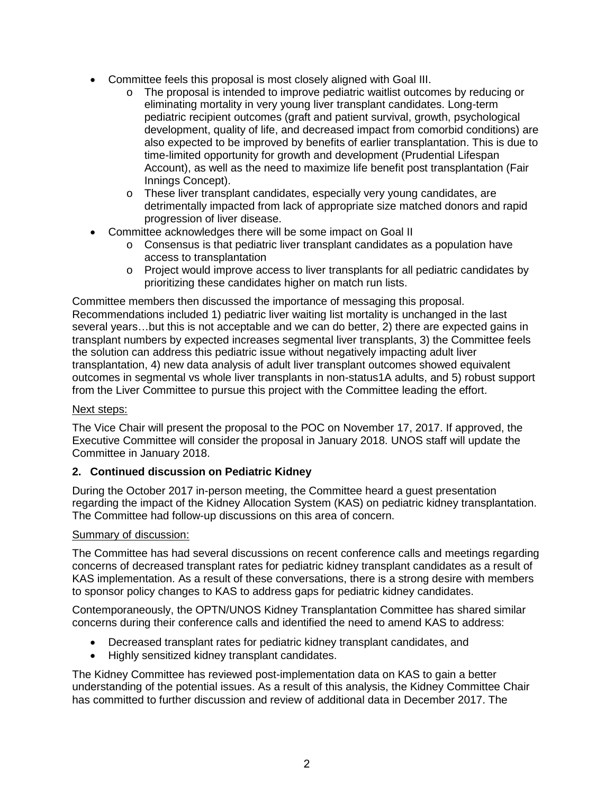- Committee feels this proposal is most closely aligned with Goal III.
	- o The proposal is intended to improve pediatric waitlist outcomes by reducing or eliminating mortality in very young liver transplant candidates. Long-term pediatric recipient outcomes (graft and patient survival, growth, psychological development, quality of life, and decreased impact from comorbid conditions) are also expected to be improved by benefits of earlier transplantation. This is due to time-limited opportunity for growth and development (Prudential Lifespan Account), as well as the need to maximize life benefit post transplantation (Fair Innings Concept).
	- o These liver transplant candidates, especially very young candidates, are detrimentally impacted from lack of appropriate size matched donors and rapid progression of liver disease.
- Committee acknowledges there will be some impact on Goal II
	- o Consensus is that pediatric liver transplant candidates as a population have access to transplantation
	- o Project would improve access to liver transplants for all pediatric candidates by prioritizing these candidates higher on match run lists.

Committee members then discussed the importance of messaging this proposal. Recommendations included 1) pediatric liver waiting list mortality is unchanged in the last several years…but this is not acceptable and we can do better, 2) there are expected gains in transplant numbers by expected increases segmental liver transplants, 3) the Committee feels the solution can address this pediatric issue without negatively impacting adult liver transplantation, 4) new data analysis of adult liver transplant outcomes showed equivalent outcomes in segmental vs whole liver transplants in non-status1A adults, and 5) robust support from the Liver Committee to pursue this project with the Committee leading the effort.

# Next steps:

The Vice Chair will present the proposal to the POC on November 17, 2017. If approved, the Executive Committee will consider the proposal in January 2018. UNOS staff will update the Committee in January 2018.

# **2. Continued discussion on Pediatric Kidney**

During the October 2017 in-person meeting, the Committee heard a guest presentation regarding the impact of the Kidney Allocation System (KAS) on pediatric kidney transplantation. The Committee had follow-up discussions on this area of concern.

#### Summary of discussion:

The Committee has had several discussions on recent conference calls and meetings regarding concerns of decreased transplant rates for pediatric kidney transplant candidates as a result of KAS implementation. As a result of these conversations, there is a strong desire with members to sponsor policy changes to KAS to address gaps for pediatric kidney candidates.

Contemporaneously, the OPTN/UNOS Kidney Transplantation Committee has shared similar concerns during their conference calls and identified the need to amend KAS to address:

- Decreased transplant rates for pediatric kidney transplant candidates, and
- Highly sensitized kidney transplant candidates.

The Kidney Committee has reviewed post-implementation data on KAS to gain a better understanding of the potential issues. As a result of this analysis, the Kidney Committee Chair has committed to further discussion and review of additional data in December 2017. The